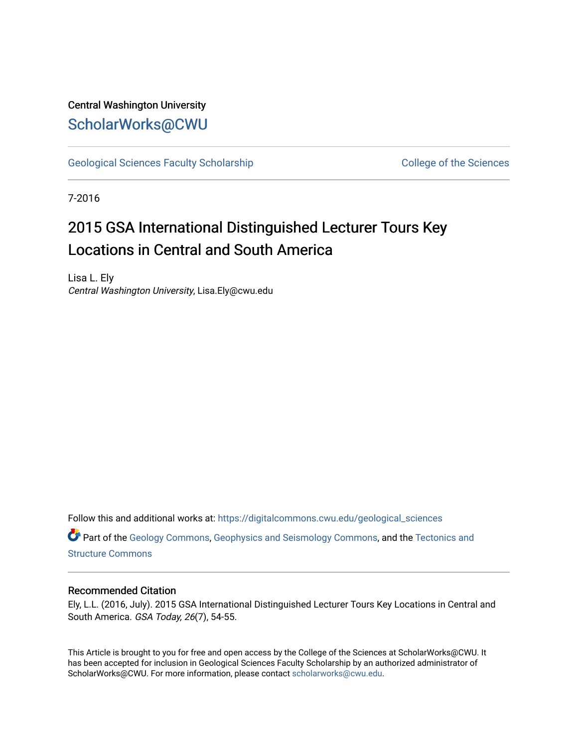### Central Washington University [ScholarWorks@CWU](https://digitalcommons.cwu.edu/)

[Geological Sciences Faculty Scholarship](https://digitalcommons.cwu.edu/geological_sciences) College of the Sciences

7-2016

## 2015 GSA International Distinguished Lecturer Tours Key Locations in Central and South America

Lisa L. Ely Central Washington University, Lisa.Ely@cwu.edu

Follow this and additional works at: [https://digitalcommons.cwu.edu/geological\\_sciences](https://digitalcommons.cwu.edu/geological_sciences?utm_source=digitalcommons.cwu.edu%2Fgeological_sciences%2F164&utm_medium=PDF&utm_campaign=PDFCoverPages) 

Part of the [Geology Commons](http://network.bepress.com/hgg/discipline/156?utm_source=digitalcommons.cwu.edu%2Fgeological_sciences%2F164&utm_medium=PDF&utm_campaign=PDFCoverPages), [Geophysics and Seismology Commons](http://network.bepress.com/hgg/discipline/158?utm_source=digitalcommons.cwu.edu%2Fgeological_sciences%2F164&utm_medium=PDF&utm_campaign=PDFCoverPages), and the [Tectonics and](http://network.bepress.com/hgg/discipline/164?utm_source=digitalcommons.cwu.edu%2Fgeological_sciences%2F164&utm_medium=PDF&utm_campaign=PDFCoverPages) [Structure Commons](http://network.bepress.com/hgg/discipline/164?utm_source=digitalcommons.cwu.edu%2Fgeological_sciences%2F164&utm_medium=PDF&utm_campaign=PDFCoverPages)

### Recommended Citation

Ely, L.L. (2016, July). 2015 GSA International Distinguished Lecturer Tours Key Locations in Central and South America. GSA Today, 26(7), 54-55.

This Article is brought to you for free and open access by the College of the Sciences at ScholarWorks@CWU. It has been accepted for inclusion in Geological Sciences Faculty Scholarship by an authorized administrator of ScholarWorks@CWU. For more information, please contact [scholarworks@cwu.edu](mailto:scholarworks@cwu.edu).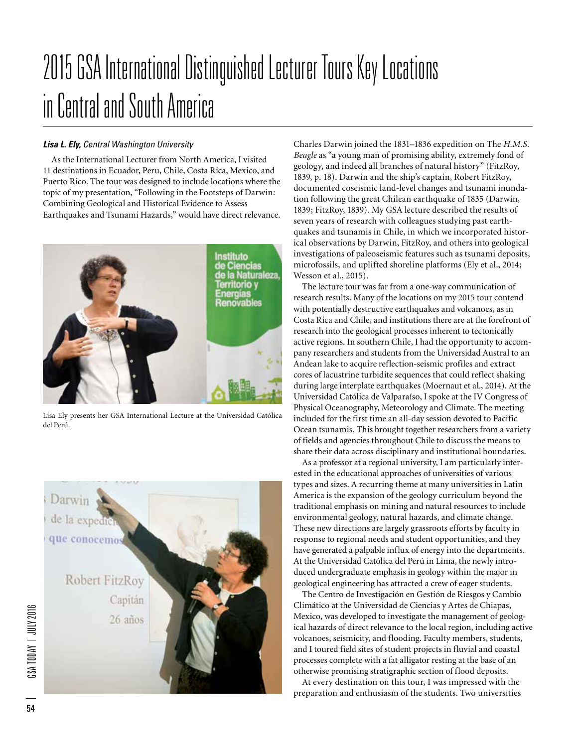# 2015 GSA International Distinguished Lecturer Tours Key Locations in Central and South America

### *Lisa L. Ely, Central Washington University*

As the International Lecturer from North America, I visited 11 destinations in Ecuador, Peru, Chile, Costa Rica, Mexico, and Puerto Rico. The tour was designed to include locations where the topic of my presentation, "Following in the Footsteps of Darwin: Combining Geological and Historical Evidence to Assess Earthquakes and Tsunami Hazards," would have direct relevance.



Lisa Ely presents her GSA International Lecture at the Universidad Católica del Perú.



Charles Darwin joined the 1831–1836 expedition on The *H.M.S. Beagle* as "a young man of promising ability, extremely fond of geology, and indeed all branches of natural history" (FitzRoy, 1839, p. 18). Darwin and the ship's captain, Robert FitzRoy, documented coseismic land-level changes and tsunami inundation following the great Chilean earthquake of 1835 (Darwin, 1839; FitzRoy, 1839). My GSA lecture described the results of seven years of research with colleagues studying past earthquakes and tsunamis in Chile, in which we incorporated historical observations by Darwin, FitzRoy, and others into geological investigations of paleoseismic features such as tsunami deposits, microfossils, and uplifted shoreline platforms (Ely et al., 2014; Wesson et al., 2015).

The lecture tour was far from a one-way communication of research results. Many of the locations on my 2015 tour contend with potentially destructive earthquakes and volcanoes, as in Costa Rica and Chile, and institutions there are at the forefront of research into the geological processes inherent to tectonically active regions. In southern Chile, I had the opportunity to accompany researchers and students from the Universidad Austral to an Andean lake to acquire reflection-seismic profiles and extract cores of lacustrine turbidite sequences that could reflect shaking during large interplate earthquakes (Moernaut et al., 2014). At the Universidad Católica de Valparaíso, I spoke at the IV Congress of Physical Oceanography, Meteorology and Climate. The meeting included for the first time an all-day session devoted to Pacific Ocean tsunamis. This brought together researchers from a variety of fields and agencies throughout Chile to discuss the means to share their data across disciplinary and institutional boundaries.

As a professor at a regional university, I am particularly interested in the educational approaches of universities of various types and sizes. A recurring theme at many universities in Latin America is the expansion of the geology curriculum beyond the traditional emphasis on mining and natural resources to include environmental geology, natural hazards, and climate change. These new directions are largely grassroots efforts by faculty in response to regional needs and student opportunities, and they have generated a palpable influx of energy into the departments. At the Universidad Católica del Perú in Lima, the newly introduced undergraduate emphasis in geology within the major in geological engineering has attracted a crew of eager students.

The Centro de Investigación en Gestión de Riesgos y Cambio Climático at the Universidad de Ciencias y Artes de Chiapas, Mexico, was developed to investigate the management of geological hazards of direct relevance to the local region, including active volcanoes, seismicity, and flooding. Faculty members, students, and I toured field sites of student projects in fluvial and coastal processes complete with a fat alligator resting at the base of an otherwise promising stratigraphic section of flood deposits.

At every destination on this tour, I was impressed with the preparation and enthusiasm of the students. Two universities